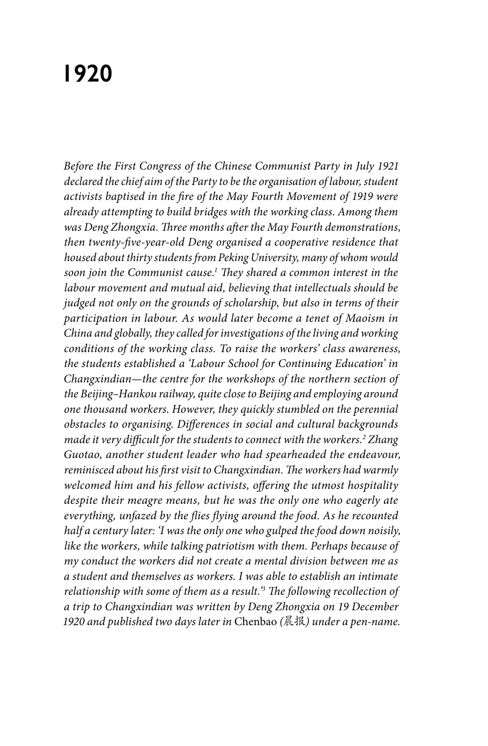## **1920**

*Before the First Congress of the Chinese Communist Party in July 1921 declared the chief aim of the Party to be the organisation of labour, student activists baptised in the fire of the May Fourth Movement of 1919 were already attempting to build bridges with the working class. Among them was Deng Zhongxia. Three months after the May Fourth demonstrations, then twenty-five-year-old Deng organised a cooperative residence that housed about thirty students from Peking University, many of whom would soon join the Communist cause.1 They shared a common interest in the labour movement and mutual aid, believing that intellectuals should be judged not only on the grounds of scholarship, but also in terms of their participation in labour. As would later become a tenet of Maoism in China and globally, they called for investigations of the living and working conditions of the working class. To raise the workers' class awareness, the students established a 'Labour School for Continuing Education' in Changxindian—the centre for the workshops of the northern section of the Beijing–Hankou railway, quite close to Beijing and employing around one thousand workers. However, they quickly stumbled on the perennial obstacles to organising. Differences in social and cultural backgrounds made it very difficult for the students to connect with the workers.2 Zhang Guotao, another student leader who had spearheaded the endeavour, reminisced about his first visit to Changxindian. The workers had warmly welcomed him and his fellow activists, offering the utmost hospitality despite their meagre means, but he was the only one who eagerly ate everything, unfazed by the flies flying around the food. As he recounted half a century later: 'I was the only one who gulped the food down noisily, like the workers, while talking patriotism with them. Perhaps because of my conduct the workers did not create a mental division between me as a student and themselves as workers. I was able to establish an intimate relationship with some of them as a result.'3 The following recollection of a trip to Changxindian was written by Deng Zhongxia on 19 December 1920 and published two days later in* Chenbao *(*晨报*) under a pen-name.*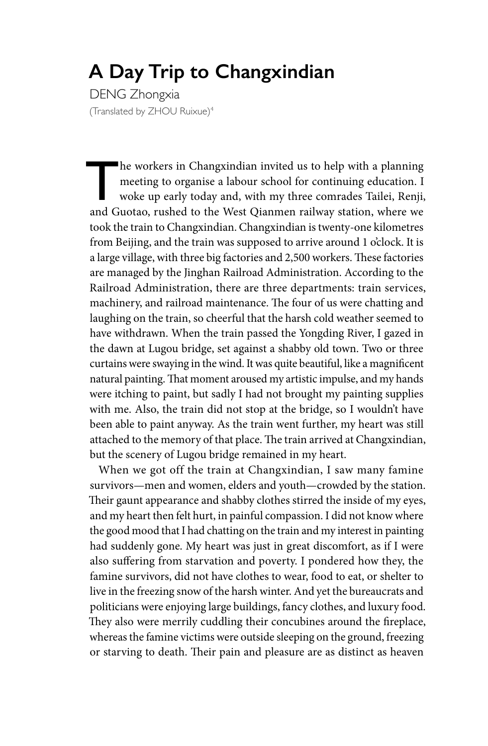## **A Day Trip to Changxindian**

DENG Zhongxia (Translated by ZHOU Ruixue)4

The workers in Changxindian invited us to help with a planning<br>meeting to organise a labour school for continuing education. I<br>woke up early today and, with my three comrades Tailei, Renji,<br>and Guotae, rushed to the West Q meeting to organise a labour school for continuing education. I woke up early today and, with my three comrades Tailei, Renji, and Guotao, rushed to the West Qianmen railway station, where we took the train to Changxindian. Changxindian is twenty-one kilometres from Beijing, and the train was supposed to arrive around 1 o'clock. It is a large village, with three big factories and 2,500 workers. These factories are managed by the Jinghan Railroad Administration. According to the Railroad Administration, there are three departments: train services, machinery, and railroad maintenance. The four of us were chatting and laughing on the train, so cheerful that the harsh cold weather seemed to have withdrawn. When the train passed the Yongding River, I gazed in the dawn at Lugou bridge, set against a shabby old town. Two or three curtains were swaying in the wind. It was quite beautiful, like a magnificent natural painting. That moment aroused my artistic impulse, and my hands were itching to paint, but sadly I had not brought my painting supplies with me. Also, the train did not stop at the bridge, so I wouldn't have been able to paint anyway. As the train went further, my heart was still attached to the memory of that place. The train arrived at Changxindian, but the scenery of Lugou bridge remained in my heart.

When we got off the train at Changxindian, I saw many famine survivors—men and women, elders and youth—crowded by the station. Their gaunt appearance and shabby clothes stirred the inside of my eyes, and my heart then felt hurt, in painful compassion. I did not know where the good mood that I had chatting on the train and my interest in painting had suddenly gone. My heart was just in great discomfort, as if I were also suffering from starvation and poverty. I pondered how they, the famine survivors, did not have clothes to wear, food to eat, or shelter to live in the freezing snow of the harsh winter. And yet the bureaucrats and politicians were enjoying large buildings, fancy clothes, and luxury food. They also were merrily cuddling their concubines around the fireplace, whereas the famine victims were outside sleeping on the ground, freezing or starving to death. Their pain and pleasure are as distinct as heaven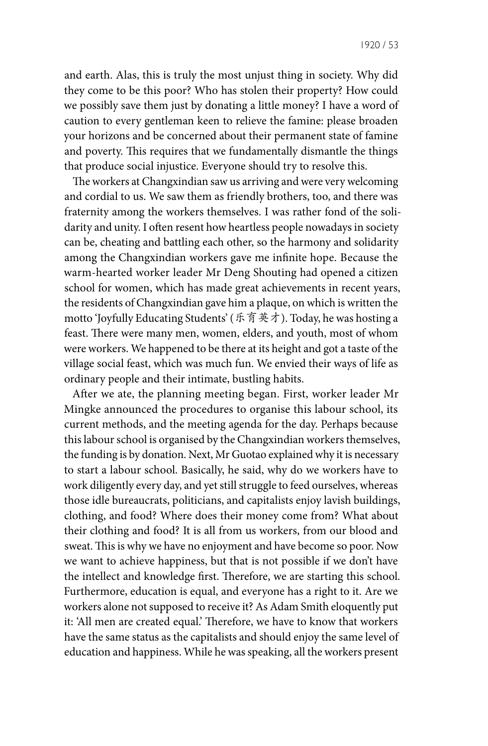and earth. Alas, this is truly the most unjust thing in society. Why did they come to be this poor? Who has stolen their property? How could we possibly save them just by donating a little money? I have a word of caution to every gentleman keen to relieve the famine: please broaden your horizons and be concerned about their permanent state of famine and poverty. This requires that we fundamentally dismantle the things that produce social injustice. Everyone should try to resolve this.

The workers at Changxindian saw us arriving and were very welcoming and cordial to us. We saw them as friendly brothers, too, and there was fraternity among the workers themselves. I was rather fond of the solidarity and unity. I often resent how heartless people nowadays in society can be, cheating and battling each other, so the harmony and solidarity among the Changxindian workers gave me infinite hope. Because the warm-hearted worker leader Mr Deng Shouting had opened a citizen school for women, which has made great achievements in recent years, the residents of Changxindian gave him a plaque, on which is written the motto 'Joyfully Educating Students' (乐育英才). Today, he was hosting a feast. There were many men, women, elders, and youth, most of whom were workers. We happened to be there at its height and got a taste of the village social feast, which was much fun. We envied their ways of life as ordinary people and their intimate, bustling habits.

After we ate, the planning meeting began. First, worker leader Mr Mingke announced the procedures to organise this labour school, its current methods, and the meeting agenda for the day. Perhaps because this labour school is organised by the Changxindian workers themselves, the funding is by donation. Next, Mr Guotao explained why it is necessary to start a labour school. Basically, he said, why do we workers have to work diligently every day, and yet still struggle to feed ourselves, whereas those idle bureaucrats, politicians, and capitalists enjoy lavish buildings, clothing, and food? Where does their money come from? What about their clothing and food? It is all from us workers, from our blood and sweat. This is why we have no enjoyment and have become so poor. Now we want to achieve happiness, but that is not possible if we don't have the intellect and knowledge first. Therefore, we are starting this school. Furthermore, education is equal, and everyone has a right to it. Are we workers alone not supposed to receive it? As Adam Smith eloquently put it: 'All men are created equal.' Therefore, we have to know that workers have the same status as the capitalists and should enjoy the same level of education and happiness. While he was speaking, all the workers present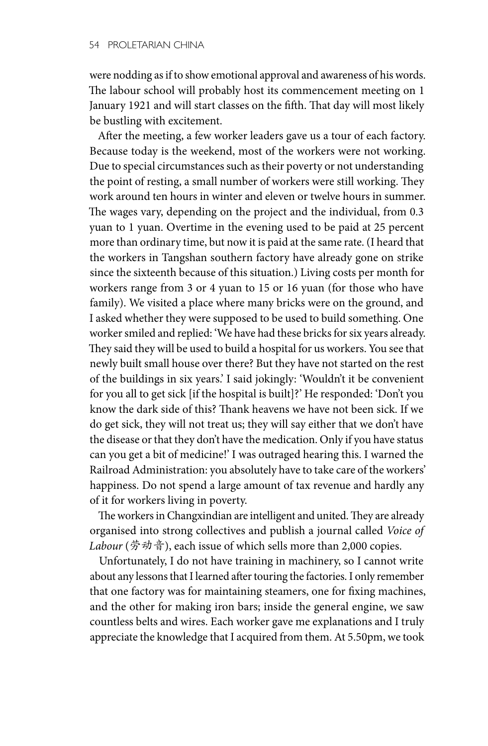were nodding as if to show emotional approval and awareness of his words. The labour school will probably host its commencement meeting on 1 January 1921 and will start classes on the fifth. That day will most likely be bustling with excitement.

After the meeting, a few worker leaders gave us a tour of each factory. Because today is the weekend, most of the workers were not working. Due to special circumstances such as their poverty or not understanding the point of resting, a small number of workers were still working. They work around ten hours in winter and eleven or twelve hours in summer. The wages vary, depending on the project and the individual, from 0.3 yuan to 1 yuan. Overtime in the evening used to be paid at 25 percent more than ordinary time, but now it is paid at the same rate. (I heard that the workers in Tangshan southern factory have already gone on strike since the sixteenth because of this situation.) Living costs per month for workers range from 3 or 4 yuan to 15 or 16 yuan (for those who have family). We visited a place where many bricks were on the ground, and I asked whether they were supposed to be used to build something. One worker smiled and replied: 'We have had these bricks for six years already. They said they will be used to build a hospital for us workers. You see that newly built small house over there? But they have not started on the rest of the buildings in six years.' I said jokingly: 'Wouldn't it be convenient for you all to get sick [if the hospital is built]?' He responded: 'Don't you know the dark side of this? Thank heavens we have not been sick. If we do get sick, they will not treat us; they will say either that we don't have the disease or that they don't have the medication. Only if you have status can you get a bit of medicine!' I was outraged hearing this. I warned the Railroad Administration: you absolutely have to take care of the workers' happiness. Do not spend a large amount of tax revenue and hardly any of it for workers living in poverty.

The workers in Changxindian are intelligent and united. They are already organised into strong collectives and publish a journal called *Voice of Labour* (劳动音), each issue of which sells more than 2,000 copies.

Unfortunately, I do not have training in machinery, so I cannot write about any lessons that I learned after touring the factories. I only remember that one factory was for maintaining steamers, one for fixing machines, and the other for making iron bars; inside the general engine, we saw countless belts and wires. Each worker gave me explanations and I truly appreciate the knowledge that I acquired from them. At 5.50pm, we took